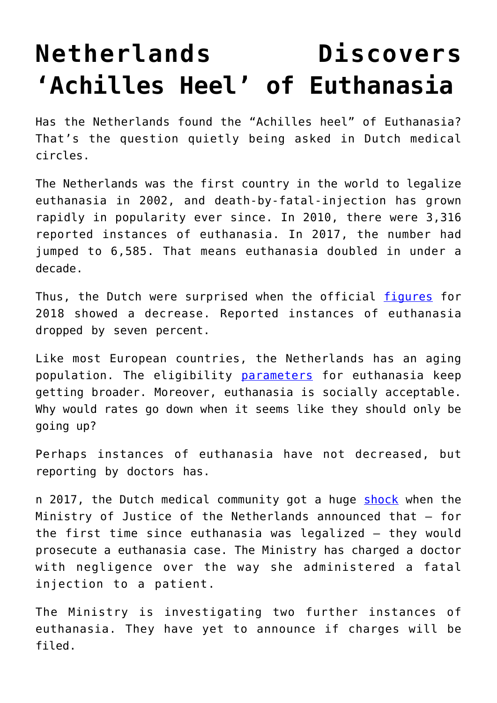## **[Netherlands Discovers](https://intellectualtakeout.org/2019/06/netherlands-discovers-achilles-heel-of-euthanasia/) ['Achilles Heel' of Euthanasia](https://intellectualtakeout.org/2019/06/netherlands-discovers-achilles-heel-of-euthanasia/)**

Has the Netherlands found the "Achilles heel" of Euthanasia? That's the question quietly being asked in Dutch medical circles.

The Netherlands was the first country in the world to legalize euthanasia in 2002, and death-by-fatal-injection has grown rapidly in popularity ever since. In 2010, there were 3,316 reported instances of euthanasia. In 2017, the number had jumped to 6,585. That means euthanasia doubled in under a decade.

Thus, the Dutch were surprised when the official [figures](https://www.euthanasiecommissie.nl/de-toetsingscommissies/uitspraken/jaarverslagen/2018/april/11/jaarverslag-2018) for 2018 showed a decrease. Reported instances of euthanasia dropped by seven percent.

Like most European countries, the Netherlands has an aging population. The eligibility [parameters](https://www.intellectualtakeout.org/article/netherlands-moving-towards-euthanasia-healthy) for euthanasia keep getting broader. Moreover, euthanasia is socially acceptable. Why would rates go down when it seems like they should only be going up?

Perhaps instances of euthanasia have not decreased, but reporting by doctors has.

n 2017, the Dutch medical community got a huge [shock](https://www.trouw.nl/home/artsen-zijn-behoedzamer-met-euthanasie-waarom-~a41bdfee/) when the Ministry of Justice of the Netherlands announced that – for the first time since euthanasia was legalized – they would prosecute a euthanasia case. The Ministry has charged a doctor with negligence over the way she administered a fatal injection to a patient.

The Ministry is investigating two further instances of euthanasia. They have yet to announce if charges will be filed.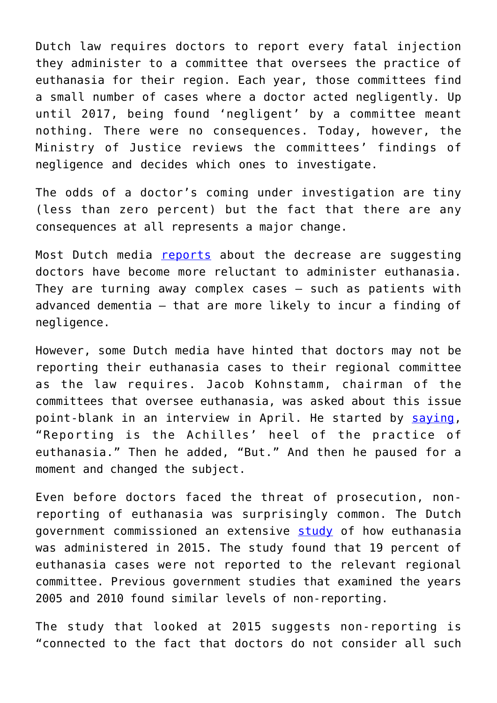Dutch law requires doctors to report every fatal injection they administer to a committee that oversees the practice of euthanasia for their region. Each year, those committees find a small number of cases where a doctor acted negligently. Up until 2017, being found 'negligent' by a committee meant nothing. There were no consequences. Today, however, the Ministry of Justice reviews the committees' findings of negligence and decides which ones to investigate.

The odds of a doctor's coming under investigation are tiny (less than zero percent) but the fact that there are any consequences at all represents a major change.

Most Dutch media [reports](https://www.trouw.nl/samenleving/trendbreuk-het-aantal-euthanasiegevallen-daalt-voor-het-eerst-in-jaren~abd64bdb/) about the decrease are suggesting doctors have become more reluctant to administer euthanasia. They are turning away complex cases – such as patients with advanced dementia – that are more likely to incur a finding of negligence.

However, some Dutch media have hinted that doctors may not be reporting their euthanasia cases to their regional committee as the law requires. Jacob Kohnstamm, chairman of the committees that oversee euthanasia, was asked about this issue point-blank in an interview in April. He started by [saying,](https://www.trouw.nl/samenleving/jacob-kohnstamm-euthanasie-is-geen-recht~af4a9d1a/) "Reporting is the Achilles' heel of the practice of euthanasia." Then he added, "But." And then he paused for a moment and changed the subject.

Even before doctors faced the threat of prosecution, nonreporting of euthanasia was surprisingly common. The Dutch government commissioned an extensive [study](https://www.rijksoverheid.nl/documenten/rapporten/2017/05/23/derde-evaluatie-wet-toetsing-levensbeeindiging-op-verzoek-en-hulp-bij-zelfdoding) of how euthanasia was administered in 2015. The study found that 19 percent of euthanasia cases were not reported to the relevant regional committee. Previous government studies that examined the years 2005 and 2010 found similar levels of non-reporting.

The study that looked at 2015 suggests non-reporting is "connected to the fact that doctors do not consider all such